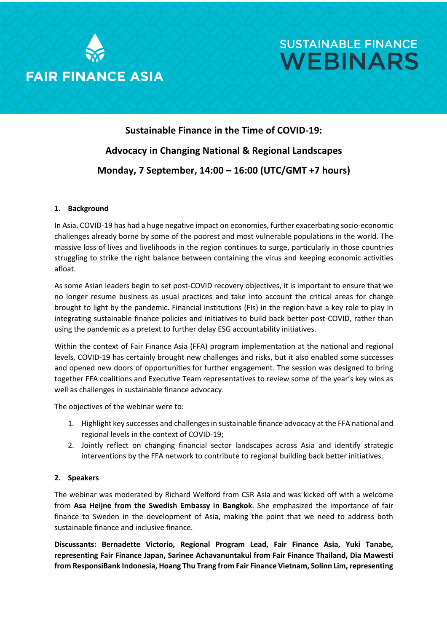



### **Sustainable Finance in the Time of COVID-19: Advocacy in Changing National & Regional Landscapes Monday, 7 September, 14:00 – 16:00 (UTC/GMT +7 hours)**

### **1. Background**

In Asia, COVID-19 has had a huge negative impact on economies, further exacerbating socio-economic challenges already borne by some of the poorest and most vulnerable populations in the world. The massive loss of lives and livelihoods in the region continues to surge, particularly in those countries struggling to strike the right balance between containing the virus and keeping economic activities afloat.

As some Asian leaders begin to set post-COVID recovery objectives, it is important to ensure that we no longer resume business as usual practices and take into account the critical areas for change brought to light by the pandemic. Financial institutions (FIs) in the region have a key role to play in integrating sustainable finance policies and initiatives to build back better post-COVID, rather than using the pandemic as a pretext to further delay ESG accountability initiatives.

Within the context of Fair Finance Asia (FFA) program implementation at the national and regional levels, COVID-19 has certainly brought new challenges and risks, but it also enabled some successes and opened new doors of opportunities for further engagement. The session was designed to bring together FFA coalitions and Executive Team representatives to review some of the year's key wins as well as challenges in sustainable finance advocacy.

The objectives of the webinar were to:

- 1. Highlight key successes and challenges in sustainable finance advocacy at the FFA national and regional levels in the context of COVID-19;
- 2. Jointly reflect on changing financial sector landscapes across Asia and identify strategic interventions by the FFA network to contribute to regional building back better initiatives.

### **2. Speakers**

The webinar was moderated by Richard Welford from CSR Asia and was kicked off with a welcome from **Asa Heijne from the Swedish Embassy in Bangkok**. She emphasized the importance of fair finance to Sweden in the development of Asia, making the point that we need to address both sustainable finance and inclusive finance.

**Discussants: Bernadette Victorio, Regional Program Lead, Fair Finance Asia, Yuki Tanabe, representing Fair Finance Japan, Sarinee Achavanuntakul from Fair Finance Thailand, Dia Mawesti from ResponsiBank Indonesia, Hoang Thu Trang from Fair Finance Vietnam, Solinn Lim, representing**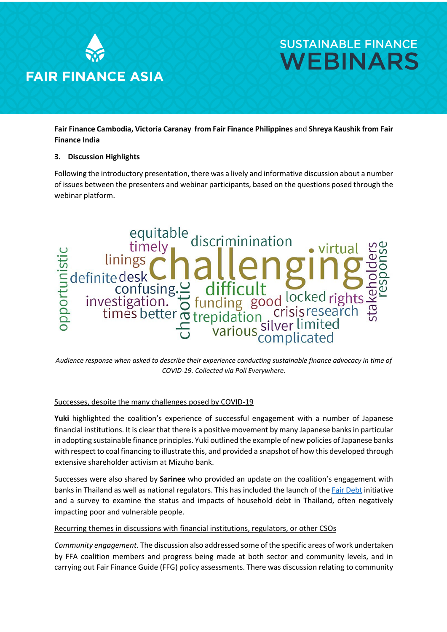

**Fair Finance Cambodia, Victoria Caranay from Fair Finance Philippines** and **Shreya Kaushik from Fair Finance India** 

### **3. Discussion Highlights**

Following the introductory presentation, there was a lively and informative discussion about a number of issues between the presenters and webinar participants, based on the questions posed through the webinar platform.



*Audience response when asked to describe their experience conducting sustainable finance advocacy in time of COVID-19. Collected via Poll Everywhere.* 

### Successes, despite the many challenges posed by COVID-19

**Yuki** highlighted the coalition's experience of successful engagement with a number of Japanese financial institutions. It is clear that there is a positive movement by many Japanese banks in particular in adopting sustainable finance principles. Yuki outlined the example of new policies of Japanese banks with respect to coal financing to illustrate this, and provided a snapshot of how this developed through extensive shareholder activism at Mizuho bank.

Successes were also shared by **Sarinee** who provided an update on the coalition's engagement with banks in Thailand as well as national regulators. This has included the launch of the Fair Debt initiative and a survey to examine the status and impacts of household debt in Thailand, often negatively impacting poor and vulnerable people.

### Recurring themes in discussions with financial institutions, regulators, or other CSOs

*Community engagement.* The discussion also addressed some of the specific areas of work undertaken by FFA coalition members and progress being made at both sector and community levels, and in carrying out Fair Finance Guide (FFG) policy assessments. There was discussion relating to community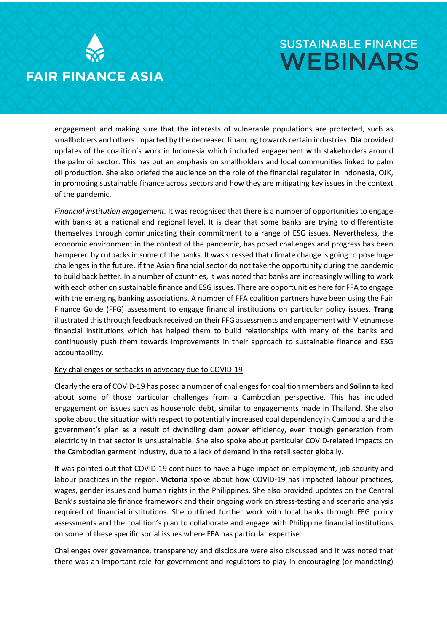

engagement and making sure that the interests of vulnerable populations are protected, such as smallholders and others impacted by the decreased financing towards certain industries. **Dia** provided updates of the coalition's work in Indonesia which included engagement with stakeholders around the palm oil sector. This has put an emphasis on smallholders and local communities linked to palm oil production. She also briefed the audience on the role of the financial regulator in Indonesia, OJK, in promoting sustainable finance across sectors and how they are mitigating key issues in the context of the pandemic.

*Financial institution engagement.* It was recognised that there is a number of opportunities to engage with banks at a national and regional level. It is clear that some banks are trying to differentiate themselves through communicating their commitment to a range of ESG issues. Nevertheless, the economic environment in the context of the pandemic, has posed challenges and progress has been hampered by cutbacks in some of the banks. It was stressed that climate change is going to pose huge challenges in the future, if the Asian financial sector do not take the opportunity during the pandemic to build back better. In a number of countries, it was noted that banks are increasingly willing to work with each other on sustainable finance and ESG issues. There are opportunities here for FFA to engage with the emerging banking associations. A number of FFA coalition partners have been using the Fair Finance Guide (FFG) assessment to engage financial institutions on particular policy issues. **Trang** illustrated this through feedback received on their FFG assessments and engagement with Vietnamese financial institutions which has helped them to build relationships with many of the banks and continuously push them towards improvements in their approach to sustainable finance and ESG accountability.

### Key challenges or setbacks in advocacy due to COVID-19

Clearly the era of COVID-19 has posed a number of challenges for coalition members and **Solinn** talked about some of those particular challenges from a Cambodian perspective. This has included engagement on issues such as household debt, similar to engagements made in Thailand. She also spoke about the situation with respect to potentially increased coal dependency in Cambodia and the government's plan as a result of dwindling dam power efficiency, even though generation from electricity in that sector is unsustainable. She also spoke about particular COVID-related impacts on the Cambodian garment industry, due to a lack of demand in the retail sector globally.

It was pointed out that COVID-19 continues to have a huge impact on employment, job security and labour practices in the region. **Victoria** spoke about how COVID-19 has impacted labour practices, wages, gender issues and human rights in the Philippines. She also provided updates on the Central Bank's sustainable finance framework and their ongoing work on stress-testing and scenario analysis required of financial institutions. She outlined further work with local banks through FFG policy assessments and the coalition's plan to collaborate and engage with Philippine financial institutions on some of these specific social issues where FFA has particular expertise.

Challenges over governance, transparency and disclosure were also discussed and it was noted that there was an important role for government and regulators to play in encouraging (or mandating)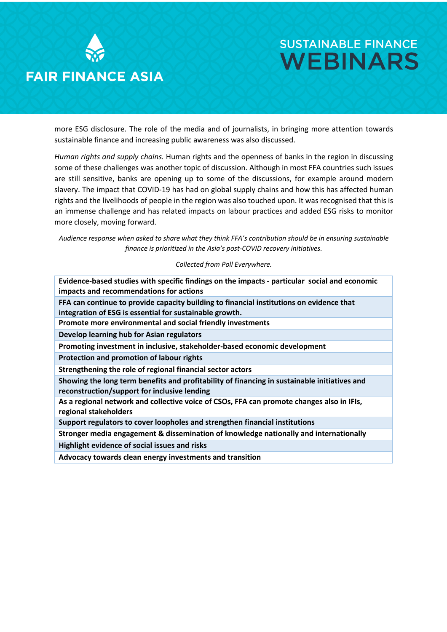

more ESG disclosure. The role of the media and of journalists, in bringing more attention towards sustainable finance and increasing public awareness was also discussed.

*Human rights and supply chains.* Human rights and the openness of banks in the region in discussing some of these challenges was another topic of discussion. Although in most FFA countries such issues are still sensitive, banks are opening up to some of the discussions, for example around modern slavery. The impact that COVID-19 has had on global supply chains and how this has affected human rights and the livelihoods of people in the region was also touched upon. It was recognised that this is an immense challenge and has related impacts on labour practices and added ESG risks to monitor more closely, moving forward.

*Audience response when asked to share what they think FFA's contribution should be in ensuring sustainable finance is prioritized in the Asia's post-COVID recovery initiatives.* 

*Collected from Poll Everywhere.*

| Evidence-based studies with specific findings on the impacts - particular social and economic<br>impacts and recommendations for actions            |
|-----------------------------------------------------------------------------------------------------------------------------------------------------|
| FFA can continue to provide capacity building to financial institutions on evidence that<br>integration of ESG is essential for sustainable growth. |
| Promote more environmental and social friendly investments                                                                                          |
| Develop learning hub for Asian regulators                                                                                                           |
| Promoting investment in inclusive, stakeholder-based economic development                                                                           |
| Protection and promotion of labour rights                                                                                                           |
| Strengthening the role of regional financial sector actors                                                                                          |
| Showing the long term benefits and profitability of financing in sustainable initiatives and<br>reconstruction/support for inclusive lending        |
| As a regional network and collective voice of CSOs, FFA can promote changes also in IFIs,<br>regional stakeholders                                  |
| Support regulators to cover loopholes and strengthen financial institutions                                                                         |
| Stronger media engagement & dissemination of knowledge nationally and internationally                                                               |
| Highlight evidence of social issues and risks                                                                                                       |
| Advocacy towards clean energy investments and transition                                                                                            |
|                                                                                                                                                     |